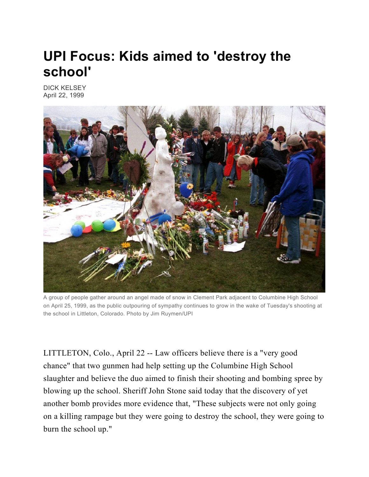## **UPI Focus: Kids aimed to 'destroy the school'**

DICK KELSEY April 22, 1999



A group of people gather around an angel made of snow in Clement Park adjacent to Columbine High School on April 25, 1999, as the public outpouring of sympathy continues to grow in the wake of Tuesday's shooting at the school in Littleton, Colorado. Photo by Jim Ruymen/UPI

LITTLETON, Colo., April 22 -- Law officers believe there is a "very good chance" that two gunmen had help setting up the Columbine High School slaughter and believe the duo aimed to finish their shooting and bombing spree by blowing up the school. Sheriff John Stone said today that the discovery of yet another bomb provides more evidence that, "These subjects were not only going on a killing rampage but they were going to destroy the school, they were going to burn the school up."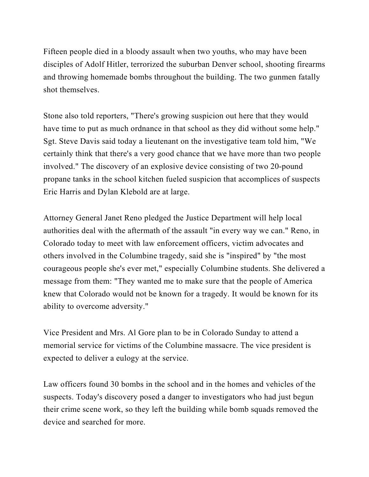Fifteen people died in a bloody assault when two youths, who may have been disciples of Adolf Hitler, terrorized the suburban Denver school, shooting firearms and throwing homemade bombs throughout the building. The two gunmen fatally shot themselves.

Stone also told reporters, "There's growing suspicion out here that they would have time to put as much ordnance in that school as they did without some help." Sgt. Steve Davis said today a lieutenant on the investigative team told him, "We certainly think that there's a very good chance that we have more than two people involved." The discovery of an explosive device consisting of two 20-pound propane tanks in the school kitchen fueled suspicion that accomplices of suspects Eric Harris and Dylan Klebold are at large.

Attorney General Janet Reno pledged the Justice Department will help local authorities deal with the aftermath of the assault "in every way we can." Reno, in Colorado today to meet with law enforcement officers, victim advocates and others involved in the Columbine tragedy, said she is "inspired" by "the most courageous people she's ever met," especially Columbine students. She delivered a message from them: "They wanted me to make sure that the people of America knew that Colorado would not be known for a tragedy. It would be known for its ability to overcome adversity."

Vice President and Mrs. Al Gore plan to be in Colorado Sunday to attend a memorial service for victims of the Columbine massacre. The vice president is expected to deliver a eulogy at the service.

Law officers found 30 bombs in the school and in the homes and vehicles of the suspects. Today's discovery posed a danger to investigators who had just begun their crime scene work, so they left the building while bomb squads removed the device and searched for more.